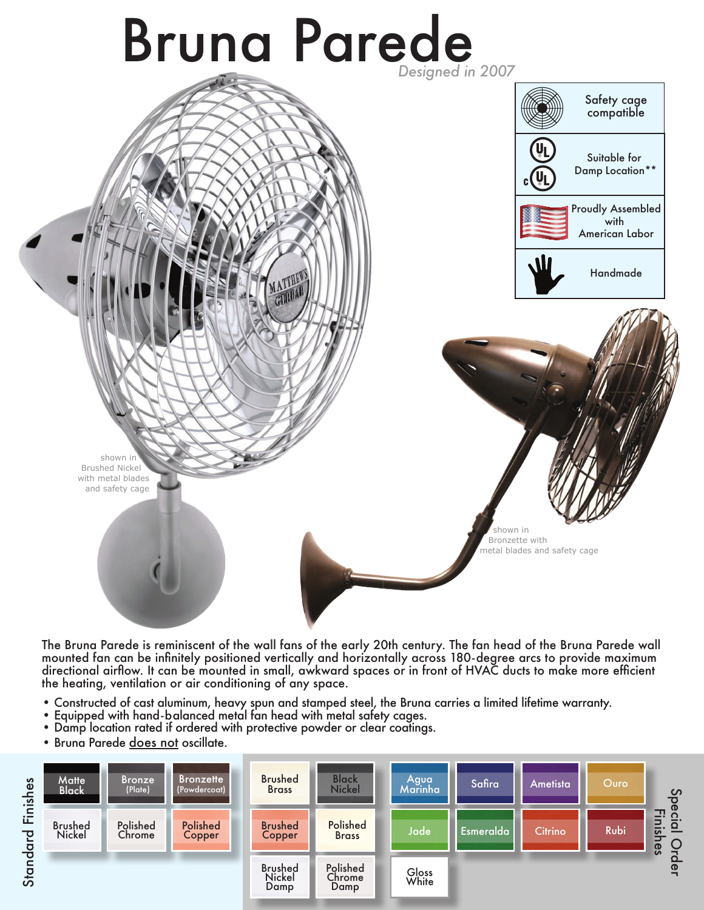

The Bruna Parede is reminiscent of the wall fans of the early 20th century. The fan head of the Bruna Parede wall mounted fan can be infinitely positioned vertically and horizontally across 180-degree arcs to provide maximum directional airflow. It can be mounted in small, awkward spaces or in front of HVAC ducts to make more efficient the heating, ventilation or air conditioning of any space.

- Constructed of cast aluminum, heavy spun and stamped steel, the Bruna carries a limited lifetime warranty.
- Equipped with hand-balanced metal fan head with metal safety cages.
- Damp location rated if ordered with protective powder or clear coatings.
- Bruna Parede does not oscillate.